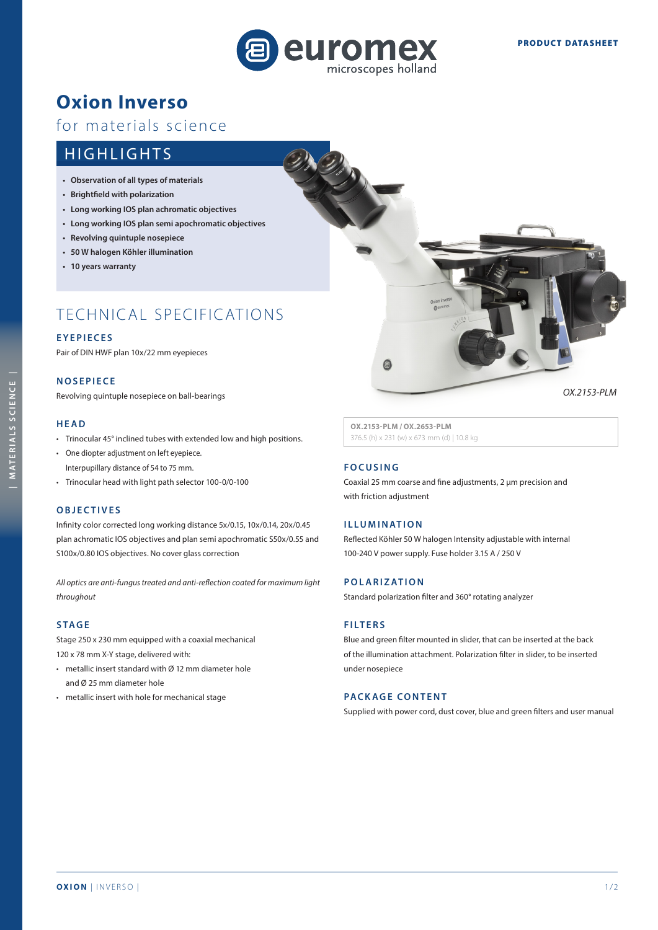

## **Oxion Inverso**

### for materials science

### HIGHLIGHTS

- **• Observation of all types of materials**
- **• Brightfield with polarization**
- **• Long working IOS plan achromatic objectives**
- **• Long working IOS plan semi apochromatic objectives**
- **• Revolving quintuple nosepiece**
- **• 50 W halogen Köhler illumination**
- **• 10 years warranty**

## TECHNICAL SPECIFICATIONS

#### **EYEPIECES**

Pair of DIN HWF plan 10x/22 mm eyepieces

#### **NOSEPIECE**

Revolving quintuple nosepiece on ball-bearings

#### **HEAD**

- Trinocular 45° inclined tubes with extended low and high positions.
- One diopter adjustment on left eyepiece. Interpupillary distance of 54 to 75 mm.
- Trinocular head with light path selector 100-0/0-100

#### **O B J E C T I V E S**

Infinity color corrected long working distance 5x/0.15, 10x/0.14, 20x/0.45 plan achromatic IOS objectives and plan semi apochromatic S50x/0.55 and S100x/0.80 IOS objectives. No cover glass correction

*All optics are anti-fungus treated and anti-reflection coated for maximum light throughout*

#### **STAGE**

Stage 250 x 230 mm equipped with a coaxial mechanical 120 x 78 mm X-Y stage, delivered with:

- metallic insert standard with Ø 12 mm diameter hole and Ø 25 mm diameter hole
- metallic insert with hole for mechanical stage



**OX.2153-PLM / OX.2653-PLM** 376.5 (h) x 231 (w) x 673 mm (d) | 10.8 kg

#### **FOCUSING**

Coaxial 25 mm coarse and fine adjustments, 2 µm precision and with friction adjustment

#### **ILLUMINATION**

Reflected Köhler 50 W halogen Intensity adjustable with internal 100-240 V power supply. Fuse holder 3.15 A / 250 V

#### **POLARIZATION**

Standard polarization filter and 360° rotating analyzer

#### **FILTERS**

Blue and green filter mounted in slider, that can be inserted at the back of the illumination attachment. Polarization filter in slider, to be inserted under nosepiece

#### **PACKAGE CONTENT**

Supplied with power cord, dust cover, blue and green filters and user manual